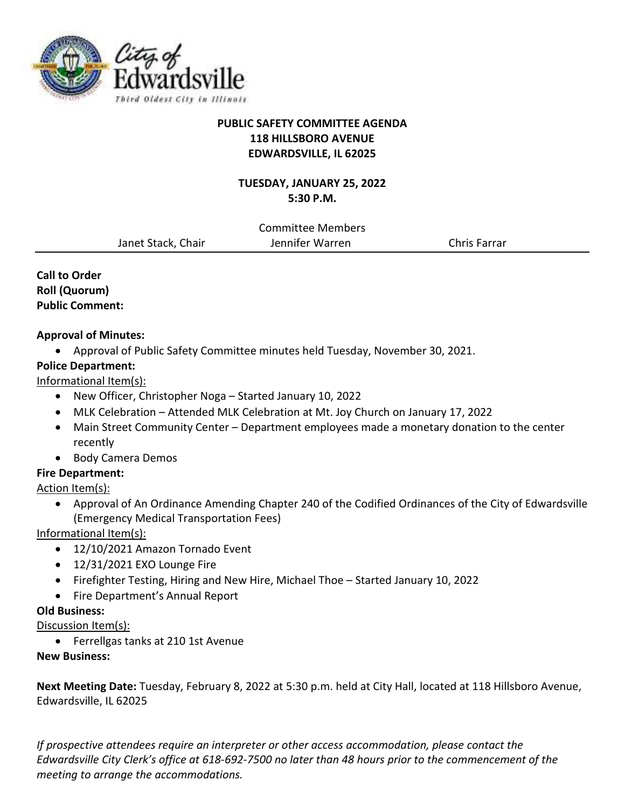

# **PUBLIC SAFETY COMMITTEE AGENDA 118 HILLSBORO AVENUE EDWARDSVILLE, IL 62025**

## **TUESDAY, JANUARY 25, 2022 5:30 P.M.**

Committee Members Janet Stack, Chair Jennifer Warren Chris Farrar

**Call to Order Roll (Quorum) Public Comment:** 

## **Approval of Minutes:**

- Approval of Public Safety Committee minutes held Tuesday, November 30, 2021.
- **Police Department:**

# Informational Item(s):

- New Officer, Christopher Noga Started January 10, 2022
- MLK Celebration Attended MLK Celebration at Mt. Joy Church on January 17, 2022
- Main Street Community Center Department employees made a monetary donation to the center recently
- Body Camera Demos

# **Fire Department:**

# Action Item(s):

 Approval of An Ordinance Amending Chapter 240 of the Codified Ordinances of the City of Edwardsville (Emergency Medical Transportation Fees)

Informational Item(s):

- 12/10/2021 Amazon Tornado Event
- 12/31/2021 EXO Lounge Fire
- Firefighter Testing, Hiring and New Hire, Michael Thoe Started January 10, 2022
- Fire Department's Annual Report

# **Old Business:**

# Discussion Item(s):

Ferrellgas tanks at 210 1st Avenue

## **New Business:**

**Next Meeting Date:** Tuesday, February 8, 2022 at 5:30 p.m. held at City Hall, located at 118 Hillsboro Avenue, Edwardsville, IL 62025

*If prospective attendees require an interpreter or other access accommodation, please contact the Edwardsville City Clerk's office at 618-692-7500 no later than 48 hours prior to the commencement of the meeting to arrange the accommodations.*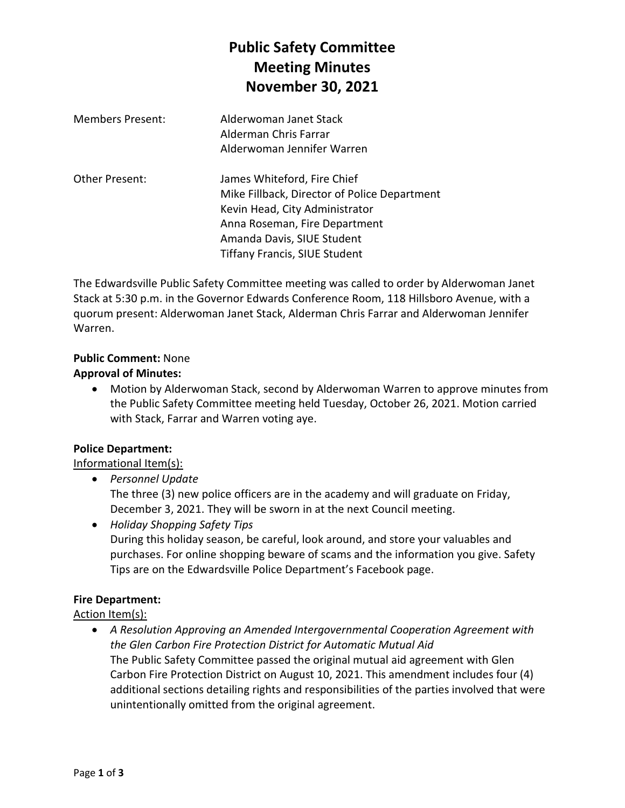# **Public Safety Committee Meeting Minutes November 30, 2021**

| <b>Members Present:</b> | Alderwoman Janet Stack<br>Alderman Chris Farrar<br>Alderwoman Jennifer Warren                                                                                                                                        |
|-------------------------|----------------------------------------------------------------------------------------------------------------------------------------------------------------------------------------------------------------------|
| Other Present:          | James Whiteford, Fire Chief<br>Mike Fillback, Director of Police Department<br>Kevin Head, City Administrator<br>Anna Roseman, Fire Department<br>Amanda Davis, SIUE Student<br><b>Tiffany Francis, SIUE Student</b> |

The Edwardsville Public Safety Committee meeting was called to order by Alderwoman Janet Stack at 5:30 p.m. in the Governor Edwards Conference Room, 118 Hillsboro Avenue, with a quorum present: Alderwoman Janet Stack, Alderman Chris Farrar and Alderwoman Jennifer Warren.

#### **Public Comment:** None

#### **Approval of Minutes:**

 Motion by Alderwoman Stack, second by Alderwoman Warren to approve minutes from the Public Safety Committee meeting held Tuesday, October 26, 2021. Motion carried with Stack, Farrar and Warren voting aye.

## **Police Department:**

## Informational Item(s):

*Personnel Update* 

The three (3) new police officers are in the academy and will graduate on Friday, December 3, 2021. They will be sworn in at the next Council meeting.

 *Holiday Shopping Safety Tips*  During this holiday season, be careful, look around, and store your valuables and purchases. For online shopping beware of scams and the information you give. Safety Tips are on the Edwardsville Police Department's Facebook page.

## **Fire Department:**

## Action Item(s):

 *A Resolution Approving an Amended Intergovernmental Cooperation Agreement with the Glen Carbon Fire Protection District for Automatic Mutual Aid*  The Public Safety Committee passed the original mutual aid agreement with Glen Carbon Fire Protection District on August 10, 2021. This amendment includes four (4) additional sections detailing rights and responsibilities of the parties involved that were unintentionally omitted from the original agreement.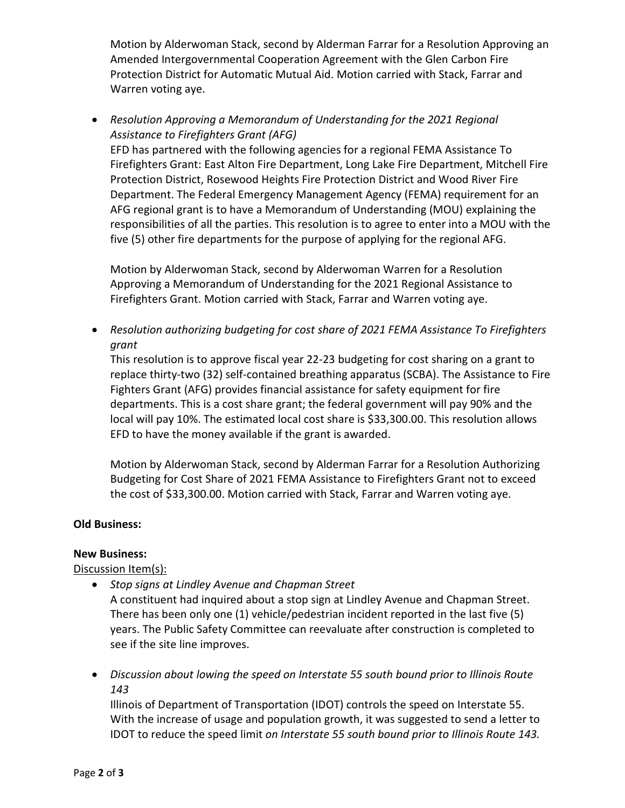Motion by Alderwoman Stack, second by Alderman Farrar for a Resolution Approving an Amended Intergovernmental Cooperation Agreement with the Glen Carbon Fire Protection District for Automatic Mutual Aid. Motion carried with Stack, Farrar and Warren voting aye.

 *Resolution Approving a Memorandum of Understanding for the 2021 Regional Assistance to Firefighters Grant (AFG)* 

EFD has partnered with the following agencies for a regional FEMA Assistance To Firefighters Grant: East Alton Fire Department, Long Lake Fire Department, Mitchell Fire Protection District, Rosewood Heights Fire Protection District and Wood River Fire Department. The Federal Emergency Management Agency (FEMA) requirement for an AFG regional grant is to have a Memorandum of Understanding (MOU) explaining the responsibilities of all the parties. This resolution is to agree to enter into a MOU with the five (5) other fire departments for the purpose of applying for the regional AFG.

Motion by Alderwoman Stack, second by Alderwoman Warren for a Resolution Approving a Memorandum of Understanding for the 2021 Regional Assistance to Firefighters Grant. Motion carried with Stack, Farrar and Warren voting aye.

 *Resolution authorizing budgeting for cost share of 2021 FEMA Assistance To Firefighters grant* 

This resolution is to approve fiscal year 22-23 budgeting for cost sharing on a grant to replace thirty-two (32) self-contained breathing apparatus (SCBA). The Assistance to Fire Fighters Grant (AFG) provides financial assistance for safety equipment for fire departments. This is a cost share grant; the federal government will pay 90% and the local will pay 10%. The estimated local cost share is \$33,300.00. This resolution allows EFD to have the money available if the grant is awarded.

Motion by Alderwoman Stack, second by Alderman Farrar for a Resolution Authorizing Budgeting for Cost Share of 2021 FEMA Assistance to Firefighters Grant not to exceed the cost of \$33,300.00. Motion carried with Stack, Farrar and Warren voting aye.

## **Old Business:**

#### **New Business:**

Discussion Item(s):

- *Stop signs at Lindley Avenue and Chapman Street*  A constituent had inquired about a stop sign at Lindley Avenue and Chapman Street. There has been only one (1) vehicle/pedestrian incident reported in the last five (5) years. The Public Safety Committee can reevaluate after construction is completed to see if the site line improves.
- *Discussion about lowing the speed on Interstate 55 south bound prior to Illinois Route 143*

Illinois of Department of Transportation (IDOT) controls the speed on Interstate 55. With the increase of usage and population growth, it was suggested to send a letter to IDOT to reduce the speed limit *on Interstate 55 south bound prior to Illinois Route 143.*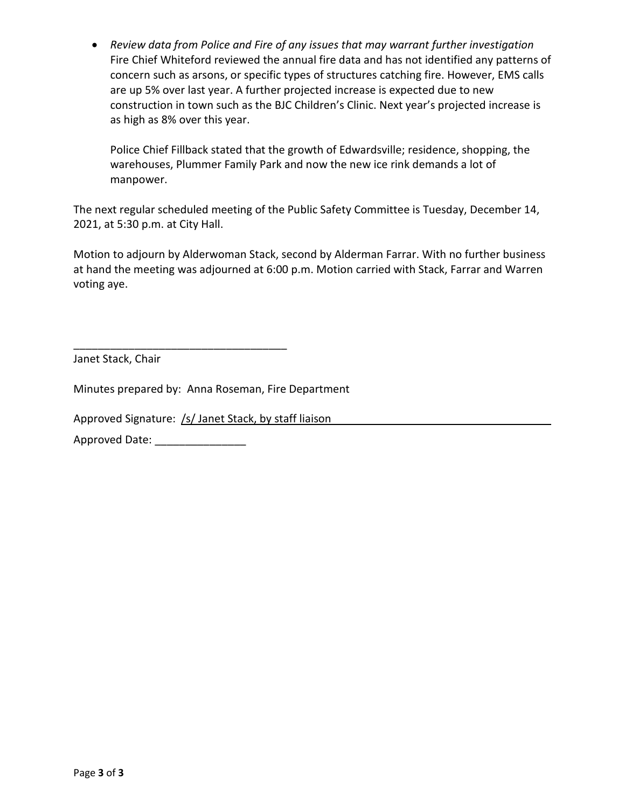*Review data from Police and Fire of any issues that may warrant further investigation* Fire Chief Whiteford reviewed the annual fire data and has not identified any patterns of concern such as arsons, or specific types of structures catching fire. However, EMS calls are up 5% over last year. A further projected increase is expected due to new construction in town such as the BJC Children's Clinic. Next year's projected increase is as high as 8% over this year.

Police Chief Fillback stated that the growth of Edwardsville; residence, shopping, the warehouses, Plummer Family Park and now the new ice rink demands a lot of manpower.

The next regular scheduled meeting of the Public Safety Committee is Tuesday, December 14, 2021, at 5:30 p.m. at City Hall.

Motion to adjourn by Alderwoman Stack, second by Alderman Farrar. With no further business at hand the meeting was adjourned at 6:00 p.m. Motion carried with Stack, Farrar and Warren voting aye.

Janet Stack, Chair

Minutes prepared by: Anna Roseman, Fire Department

Approved Signature: /s/ Janet Stack, by staff liaison

\_\_\_\_\_\_\_\_\_\_\_\_\_\_\_\_\_\_\_\_\_\_\_\_\_\_\_\_\_\_\_\_\_\_\_

Approved Date: \_\_\_\_\_\_\_\_\_\_\_\_\_\_\_\_\_\_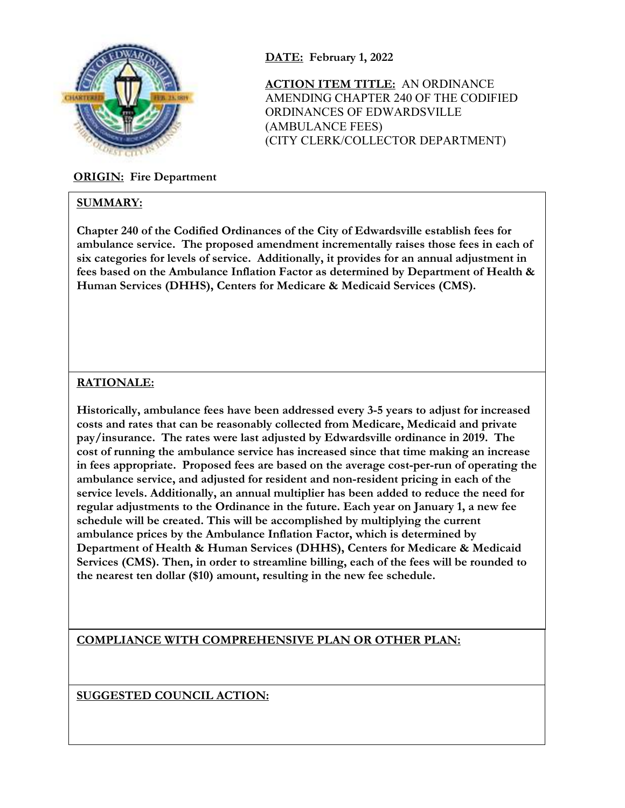

## **ORIGIN: Fire Department**

#### **SUMMARY:**

AMENDING CHAPTER 240 OF THE CODIFIED ORDINANCES OF EDWARDSVILLE (AMBULANCE FEES) (CITY CLERK/COLLECTOR DEPARTMENT)

**ACTION ITEM TITLE:** AN ORDINANCE

**Chapter 240 of the Codified Ordinances of the City of Edwardsville establish fees for ambulance service. The proposed amendment incrementally raises those fees in each of six categories for levels of service. Additionally, it provides for an annual adjustment in fees based on the Ambulance Inflation Factor as determined by Department of Health & Human Services (DHHS), Centers for Medicare & Medicaid Services (CMS).** 

**DATE: February 1, 2022** 

## **RATIONALE:**

**Historically, ambulance fees have been addressed every 3-5 years to adjust for increased costs and rates that can be reasonably collected from Medicare, Medicaid and private pay/insurance. The rates were last adjusted by Edwardsville ordinance in 2019. The cost of running the ambulance service has increased since that time making an increase in fees appropriate. Proposed fees are based on the average cost-per-run of operating the ambulance service, and adjusted for resident and non-resident pricing in each of the service levels. Additionally, an annual multiplier has been added to reduce the need for regular adjustments to the Ordinance in the future. Each year on January 1, a new fee schedule will be created. This will be accomplished by multiplying the current ambulance prices by the Ambulance Inflation Factor, which is determined by Department of Health & Human Services (DHHS), Centers for Medicare & Medicaid Services (CMS). Then, in order to streamline billing, each of the fees will be rounded to the nearest ten dollar (\$10) amount, resulting in the new fee schedule.** 

**COMPLIANCE WITH COMPREHENSIVE PLAN OR OTHER PLAN:**

**SUGGESTED COUNCIL ACTION:**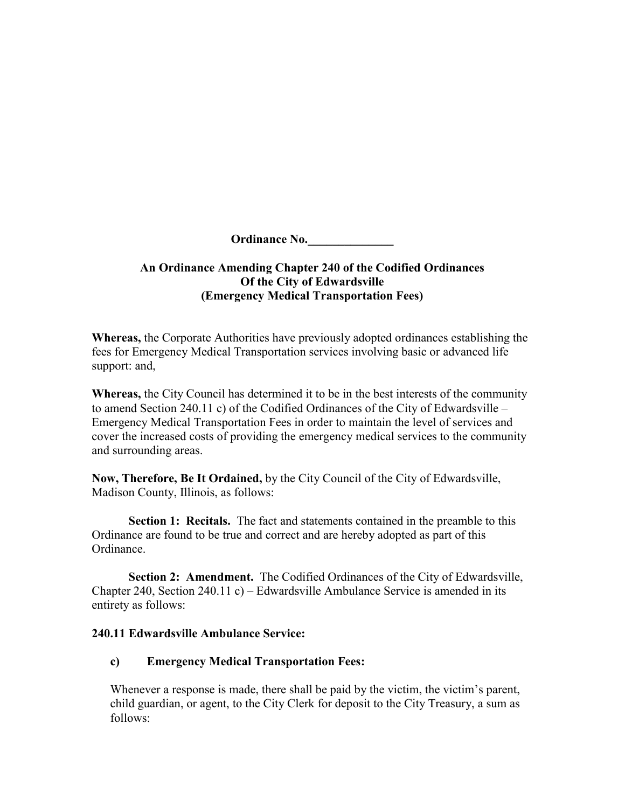**Ordinance No.\_\_\_\_\_\_\_\_\_\_\_\_\_\_** 

## **An Ordinance Amending Chapter 240 of the Codified Ordinances Of the City of Edwardsville (Emergency Medical Transportation Fees)**

**Whereas,** the Corporate Authorities have previously adopted ordinances establishing the fees for Emergency Medical Transportation services involving basic or advanced life support: and,

**Whereas,** the City Council has determined it to be in the best interests of the community to amend Section 240.11 c) of the Codified Ordinances of the City of Edwardsville – Emergency Medical Transportation Fees in order to maintain the level of services and cover the increased costs of providing the emergency medical services to the community and surrounding areas.

**Now, Therefore, Be It Ordained,** by the City Council of the City of Edwardsville, Madison County, Illinois, as follows:

**Section 1: Recitals.** The fact and statements contained in the preamble to this Ordinance are found to be true and correct and are hereby adopted as part of this Ordinance.

**Section 2: Amendment.** The Codified Ordinances of the City of Edwardsville, Chapter 240, Section 240.11 c) – Edwardsville Ambulance Service is amended in its entirety as follows:

## **240.11 Edwardsville Ambulance Service:**

## **c) Emergency Medical Transportation Fees:**

Whenever a response is made, there shall be paid by the victim, the victim's parent, child guardian, or agent, to the City Clerk for deposit to the City Treasury, a sum as follows: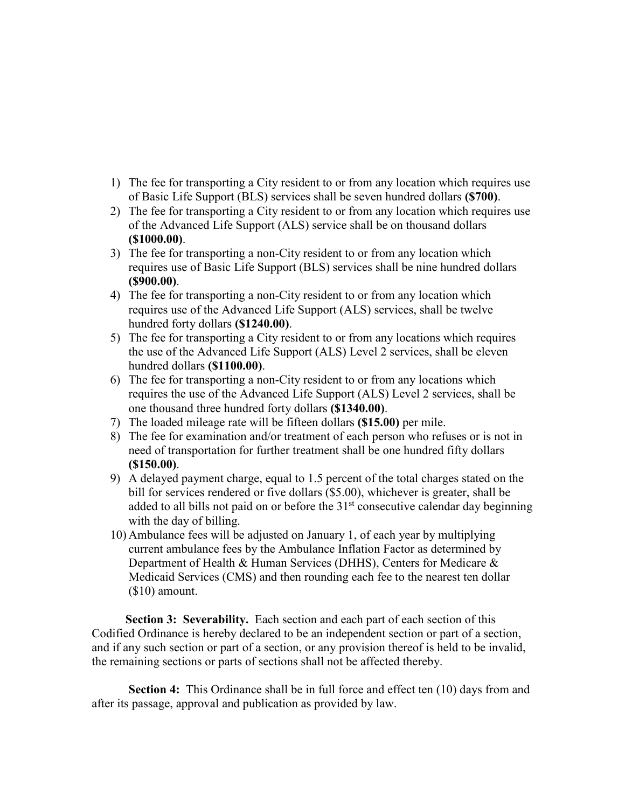- 1) The fee for transporting a City resident to or from any location which requires use of Basic Life Support (BLS) services shall be seven hundred dollars **(\$700)**.
- 2) The fee for transporting a City resident to or from any location which requires use of the Advanced Life Support (ALS) service shall be on thousand dollars **(\$1000.00)**.
- 3) The fee for transporting a non-City resident to or from any location which requires use of Basic Life Support (BLS) services shall be nine hundred dollars **(\$900.00)**.
- 4) The fee for transporting a non-City resident to or from any location which requires use of the Advanced Life Support (ALS) services, shall be twelve hundred forty dollars **(\$1240.00)**.
- 5) The fee for transporting a City resident to or from any locations which requires the use of the Advanced Life Support (ALS) Level 2 services, shall be eleven hundred dollars **(\$1100.00)**.
- 6) The fee for transporting a non-City resident to or from any locations which requires the use of the Advanced Life Support (ALS) Level 2 services, shall be one thousand three hundred forty dollars **(\$1340.00)**.
- 7) The loaded mileage rate will be fifteen dollars **(\$15.00)** per mile.
- 8) The fee for examination and/or treatment of each person who refuses or is not in need of transportation for further treatment shall be one hundred fifty dollars **(\$150.00)**.
- 9) A delayed payment charge, equal to 1.5 percent of the total charges stated on the bill for services rendered or five dollars (\$5.00), whichever is greater, shall be added to all bills not paid on or before the  $31<sup>st</sup>$  consecutive calendar day beginning with the day of billing.
- 10) Ambulance fees will be adjusted on January 1, of each year by multiplying current ambulance fees by the Ambulance Inflation Factor as determined by Department of Health & Human Services (DHHS), Centers for Medicare & Medicaid Services (CMS) and then rounding each fee to the nearest ten dollar (\$10) amount.

**Section 3: Severability.** Each section and each part of each section of this Codified Ordinance is hereby declared to be an independent section or part of a section, and if any such section or part of a section, or any provision thereof is held to be invalid, the remaining sections or parts of sections shall not be affected thereby.

**Section 4:** This Ordinance shall be in full force and effect ten (10) days from and after its passage, approval and publication as provided by law.